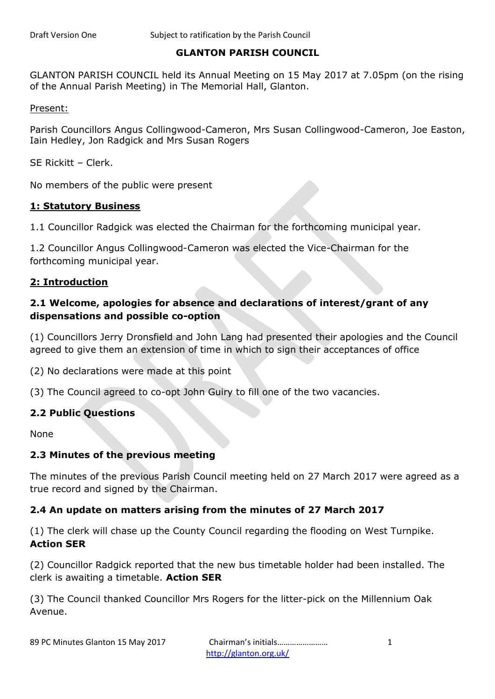## **GLANTON PARISH COUNCIL**

GLANTON PARISH COUNCIL held its Annual Meeting on 15 May 2017 at 7.05pm (on the rising of the Annual Parish Meeting) in The Memorial Hall, Glanton.

Present:

Parish Councillors Angus Collingwood-Cameron, Mrs Susan Collingwood-Cameron, Joe Easton, Iain Hedley, Jon Radgick and Mrs Susan Rogers

SE Rickitt – Clerk.

No members of the public were present

#### **1: Statutory Business**

1.1 Councillor Radgick was elected the Chairman for the forthcoming municipal year.

1.2 Councillor Angus Collingwood-Cameron was elected the Vice-Chairman for the forthcoming municipal year.

#### **2: Introduction**

# **2.1 Welcome, apologies for absence and declarations of interest/grant of any dispensations and possible co-option**

(1) Councillors Jerry Dronsfield and John Lang had presented their apologies and the Council agreed to give them an extension of time in which to sign their acceptances of office

(2) No declarations were made at this point

(3) The Council agreed to co-opt John Guiry to fill one of the two vacancies.

#### **2.2 Public Questions**

None

#### **2.3 Minutes of the previous meeting**

The minutes of the previous Parish Council meeting held on 27 March 2017 were agreed as a true record and signed by the Chairman.

#### **2.4 An update on matters arising from the minutes of 27 March 2017**

(1) The clerk will chase up the County Council regarding the flooding on West Turnpike. **Action SER**

(2) Councillor Radgick reported that the new bus timetable holder had been installed. The clerk is awaiting a timetable. **Action SER**

(3) The Council thanked Councillor Mrs Rogers for the litter-pick on the Millennium Oak Avenue.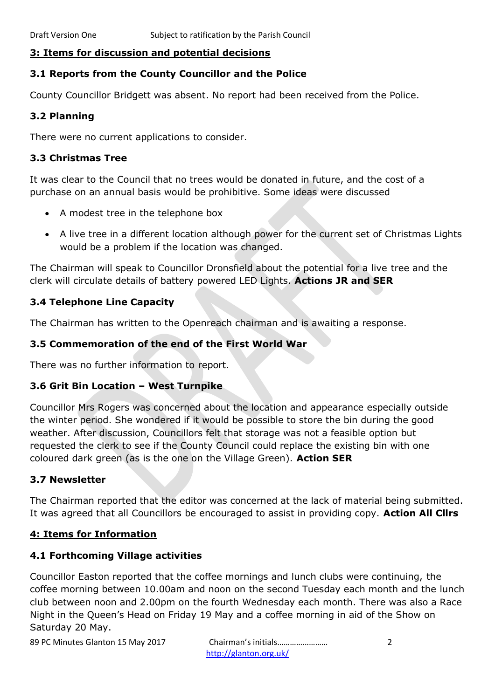#### **3: Items for discussion and potential decisions**

### **3.1 Reports from the County Councillor and the Police**

County Councillor Bridgett was absent. No report had been received from the Police.

#### **3.2 Planning**

There were no current applications to consider.

#### **3.3 Christmas Tree**

It was clear to the Council that no trees would be donated in future, and the cost of a purchase on an annual basis would be prohibitive. Some ideas were discussed

- A modest tree in the telephone box
- A live tree in a different location although power for the current set of Christmas Lights would be a problem if the location was changed.

The Chairman will speak to Councillor Dronsfield about the potential for a live tree and the clerk will circulate details of battery powered LED Lights. **Actions JR and SER**

## **3.4 Telephone Line Capacity**

The Chairman has written to the Openreach chairman and is awaiting a response.

### **3.5 Commemoration of the end of the First World War**

There was no further information to report.

#### **3.6 Grit Bin Location – West Turnpike**

Councillor Mrs Rogers was concerned about the location and appearance especially outside the winter period. She wondered if it would be possible to store the bin during the good weather. After discussion, Councillors felt that storage was not a feasible option but requested the clerk to see if the County Council could replace the existing bin with one coloured dark green (as is the one on the Village Green). **Action SER**

#### **3.7 Newsletter**

The Chairman reported that the editor was concerned at the lack of material being submitted. It was agreed that all Councillors be encouraged to assist in providing copy. **Action All Cllrs**

#### **4: Items for Information**

#### **4.1 Forthcoming Village activities**

Councillor Easton reported that the coffee mornings and lunch clubs were continuing, the coffee morning between 10.00am and noon on the second Tuesday each month and the lunch club between noon and 2.00pm on the fourth Wednesday each month. There was also a Race Night in the Queen's Head on Friday 19 May and a coffee morning in aid of the Show on Saturday 20 May.

89 PC Minutes Glanton 15 May 2017 Chairman's initials…………………… 2